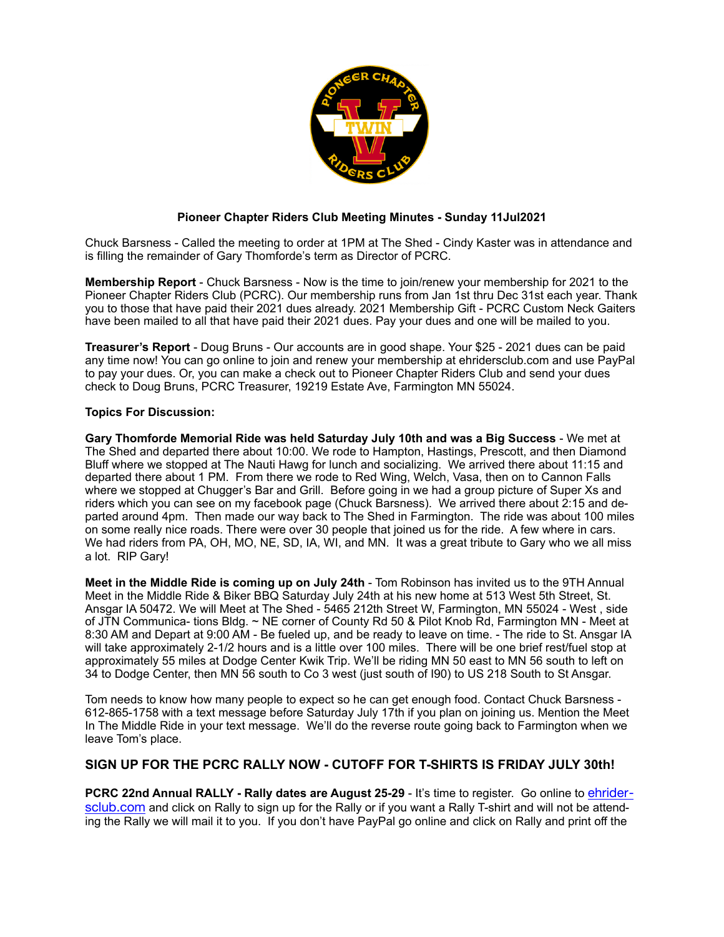

## **Pioneer Chapter Riders Club Meeting Minutes - Sunday 11Jul2021**

Chuck Barsness - Called the meeting to order at 1PM at The Shed - Cindy Kaster was in attendance and is filling the remainder of Gary Thomforde's term as Director of PCRC.

**Membership Report** - Chuck Barsness - Now is the time to join/renew your membership for 2021 to the Pioneer Chapter Riders Club (PCRC). Our membership runs from Jan 1st thru Dec 31st each year. Thank you to those that have paid their 2021 dues already. 2021 Membership Gift - PCRC Custom Neck Gaiters have been mailed to all that have paid their 2021 dues. Pay your dues and one will be mailed to you.

**Treasurer's Report** - Doug Bruns - Our accounts are in good shape. Your \$25 - 2021 dues can be paid any time now! You can go online to join and renew your membership at ehridersclub.com and use PayPal to pay your dues. Or, you can make a check out to Pioneer Chapter Riders Club and send your dues check to Doug Bruns, PCRC Treasurer, 19219 Estate Ave, Farmington MN 55024.

## **Topics For Discussion:**

**Gary Thomforde Memorial Ride was held Saturday July 10th and was a Big Success** - We met at The Shed and departed there about 10:00. We rode to Hampton, Hastings, Prescott, and then Diamond Bluff where we stopped at The Nauti Hawg for lunch and socializing. We arrived there about 11:15 and departed there about 1 PM. From there we rode to Red Wing, Welch, Vasa, then on to Cannon Falls where we stopped at Chugger's Bar and Grill. Before going in we had a group picture of Super Xs and riders which you can see on my facebook page (Chuck Barsness). We arrived there about 2:15 and departed around 4pm. Then made our way back to The Shed in Farmington. The ride was about 100 miles on some really nice roads. There were over 30 people that joined us for the ride. A few where in cars. We had riders from PA, OH, MO, NE, SD, IA, WI, and MN. It was a great tribute to Gary who we all miss a lot. RIP Gary!

**Meet in the Middle Ride is coming up on July 24th** - Tom Robinson has invited us to the 9TH Annual Meet in the Middle Ride & Biker BBQ Saturday July 24th at his new home at 513 West 5th Street, St. Ansgar IA 50472. We will Meet at The Shed - 5465 212th Street W, Farmington, MN 55024 - West , side of JTN Communica- tions Bldg. ~ NE corner of County Rd 50 & Pilot Knob Rd, Farmington MN - Meet at 8:30 AM and Depart at 9:00 AM - Be fueled up, and be ready to leave on time. - The ride to St. Ansgar IA will take approximately 2-1/2 hours and is a little over 100 miles. There will be one brief rest/fuel stop at approximately 55 miles at Dodge Center Kwik Trip. We'll be riding MN 50 east to MN 56 south to left on 34 to Dodge Center, then MN 56 south to Co 3 west (just south of I90) to US 218 South to St Ansgar.

Tom needs to know how many people to expect so he can get enough food. Contact Chuck Barsness - 612-865-1758 with a text message before Saturday July 17th if you plan on joining us. Mention the Meet In The Middle Ride in your text message. We'll do the reverse route going back to Farmington when we leave Tom's place.

## **SIGN UP FOR THE PCRC RALLY NOW - CUTOFF FOR T-SHIRTS IS FRIDAY JULY 30th!**

**PCRC 22nd Annual RALLY - Rally dates are August 25-29 - It's time to register. Go online to** *[ehrider](http://ehridersclub.com)*[sclub.com](http://ehridersclub.com) and click on Rally to sign up for the Rally or if you want a Rally T-shirt and will not be attending the Rally we will mail it to you. If you don't have PayPal go online and click on Rally and print off the